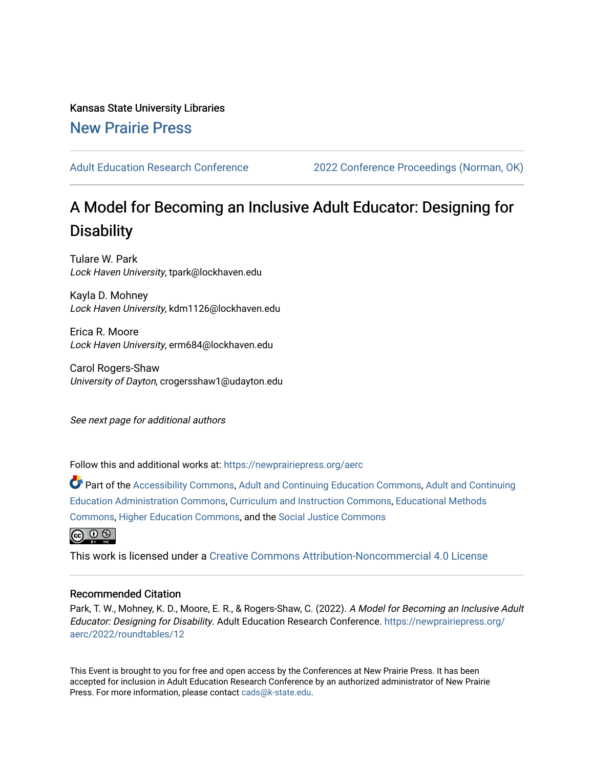Kansas State University Libraries [New Prairie Press](https://newprairiepress.org/) 

[Adult Education Research Conference](https://newprairiepress.org/aerc) [2022 Conference Proceedings \(Norman, OK\)](https://newprairiepress.org/aerc/2022) 

# A Model for Becoming an Inclusive Adult Educator: Designing for **Disability**

Tulare W. Park Lock Haven University, tpark@lockhaven.edu

Kayla D. Mohney Lock Haven University, kdm1126@lockhaven.edu

Erica R. Moore Lock Haven University, erm684@lockhaven.edu

Carol Rogers-Shaw University of Dayton, crogersshaw1@udayton.edu

See next page for additional authors

Follow this and additional works at: [https://newprairiepress.org/aerc](https://newprairiepress.org/aerc?utm_source=newprairiepress.org%2Faerc%2F2022%2Froundtables%2F12&utm_medium=PDF&utm_campaign=PDFCoverPages)

Part of the [Accessibility Commons,](https://network.bepress.com/hgg/discipline/1318?utm_source=newprairiepress.org%2Faerc%2F2022%2Froundtables%2F12&utm_medium=PDF&utm_campaign=PDFCoverPages) [Adult and Continuing Education Commons,](https://network.bepress.com/hgg/discipline/1375?utm_source=newprairiepress.org%2Faerc%2F2022%2Froundtables%2F12&utm_medium=PDF&utm_campaign=PDFCoverPages) [Adult and Continuing](https://network.bepress.com/hgg/discipline/789?utm_source=newprairiepress.org%2Faerc%2F2022%2Froundtables%2F12&utm_medium=PDF&utm_campaign=PDFCoverPages)  [Education Administration Commons,](https://network.bepress.com/hgg/discipline/789?utm_source=newprairiepress.org%2Faerc%2F2022%2Froundtables%2F12&utm_medium=PDF&utm_campaign=PDFCoverPages) [Curriculum and Instruction Commons,](https://network.bepress.com/hgg/discipline/786?utm_source=newprairiepress.org%2Faerc%2F2022%2Froundtables%2F12&utm_medium=PDF&utm_campaign=PDFCoverPages) [Educational Methods](https://network.bepress.com/hgg/discipline/1227?utm_source=newprairiepress.org%2Faerc%2F2022%2Froundtables%2F12&utm_medium=PDF&utm_campaign=PDFCoverPages)  [Commons](https://network.bepress.com/hgg/discipline/1227?utm_source=newprairiepress.org%2Faerc%2F2022%2Froundtables%2F12&utm_medium=PDF&utm_campaign=PDFCoverPages), [Higher Education Commons](https://network.bepress.com/hgg/discipline/1245?utm_source=newprairiepress.org%2Faerc%2F2022%2Froundtables%2F12&utm_medium=PDF&utm_campaign=PDFCoverPages), and the [Social Justice Commons](https://network.bepress.com/hgg/discipline/1432?utm_source=newprairiepress.org%2Faerc%2F2022%2Froundtables%2F12&utm_medium=PDF&utm_campaign=PDFCoverPages) 



This work is licensed under a [Creative Commons Attribution-Noncommercial 4.0 License](https://creativecommons.org/licenses/by-nc/4.0/)

# Recommended Citation

Park, T. W., Mohney, K. D., Moore, E. R., & Rogers-Shaw, C. (2022). A Model for Becoming an Inclusive Adult Educator: Designing for Disability. Adult Education Research Conference. [https://newprairiepress.org/](https://newprairiepress.org/aerc/2022/roundtables/12) [aerc/2022/roundtables/12](https://newprairiepress.org/aerc/2022/roundtables/12)

This Event is brought to you for free and open access by the Conferences at New Prairie Press. It has been accepted for inclusion in Adult Education Research Conference by an authorized administrator of New Prairie Press. For more information, please contact [cads@k-state.edu.](mailto:cads@k-state.edu)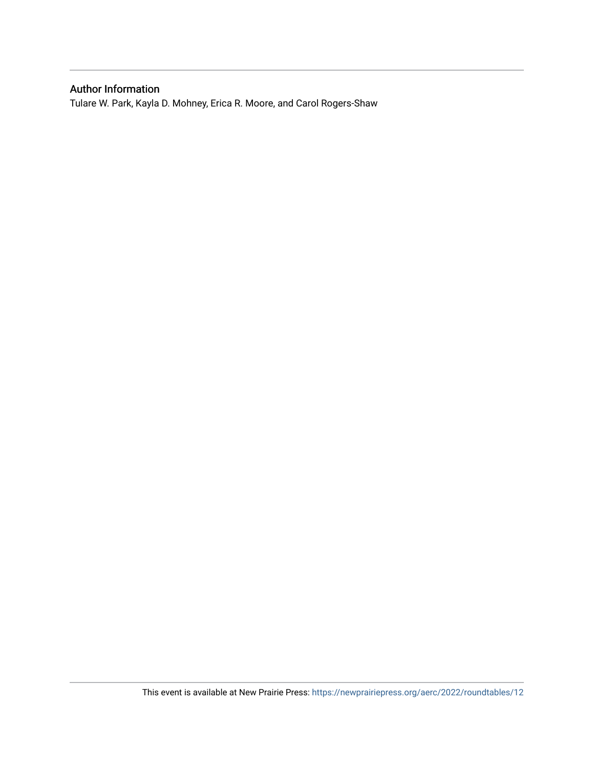# Author Information

Tulare W. Park, Kayla D. Mohney, Erica R. Moore, and Carol Rogers-Shaw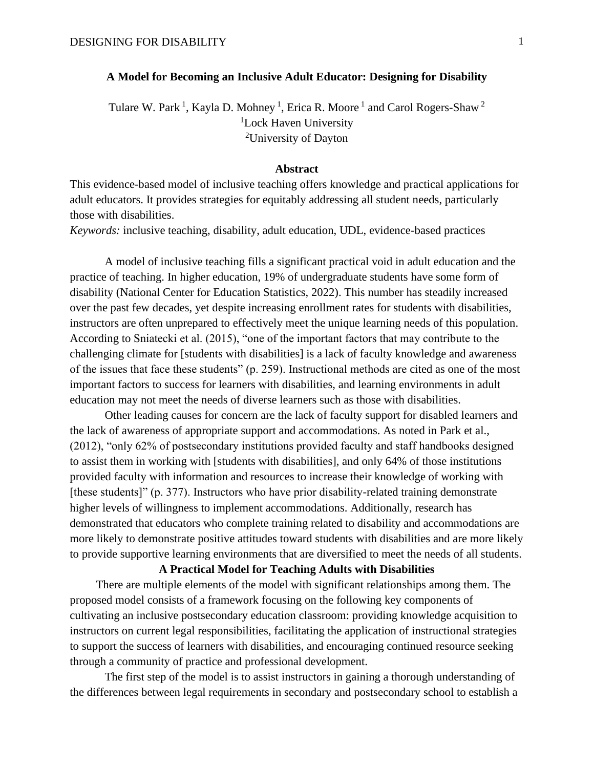## **A Model for Becoming an Inclusive Adult Educator: Designing for Disability**

Tulare W. Park<sup>1</sup>, Kayla D. Mohney<sup>1</sup>, Erica R. Moore<sup>1</sup> and Carol Rogers-Shaw<sup>2</sup> <sup>1</sup>Lock Haven University <sup>2</sup>University of Dayton

#### **Abstract**

This evidence-based model of inclusive teaching offers knowledge and practical applications for adult educators. It provides strategies for equitably addressing all student needs, particularly those with disabilities.

*Keywords:* inclusive teaching, disability, adult education, UDL, evidence-based practices

A model of inclusive teaching fills a significant practical void in adult education and the practice of teaching. In higher education, 19% of undergraduate students have some form of disability (National Center for Education Statistics, 2022). This number has steadily increased over the past few decades, yet despite increasing enrollment rates for students with disabilities, instructors are often unprepared to effectively meet the unique learning needs of this population. According to Sniatecki et al. (2015), "one of the important factors that may contribute to the challenging climate for [students with disabilities] is a lack of faculty knowledge and awareness of the issues that face these students" (p. 259). Instructional methods are cited as one of the most important factors to success for learners with disabilities, and learning environments in adult education may not meet the needs of diverse learners such as those with disabilities.

Other leading causes for concern are the lack of faculty support for disabled learners and the lack of awareness of appropriate support and accommodations. As noted in Park et al., (2012), "only 62% of postsecondary institutions provided faculty and staff handbooks designed to assist them in working with [students with disabilities], and only 64% of those institutions provided faculty with information and resources to increase their knowledge of working with [these students]" (p. 377). Instructors who have prior disability-related training demonstrate higher levels of willingness to implement accommodations. Additionally, research has demonstrated that educators who complete training related to disability and accommodations are more likely to demonstrate positive attitudes toward students with disabilities and are more likely to provide supportive learning environments that are diversified to meet the needs of all students.

## **A Practical Model for Teaching Adults with Disabilities**

 There are multiple elements of the model with significant relationships among them. The proposed model consists of a framework focusing on the following key components of cultivating an inclusive postsecondary education classroom: providing knowledge acquisition to instructors on current legal responsibilities, facilitating the application of instructional strategies to support the success of learners with disabilities, and encouraging continued resource seeking through a community of practice and professional development.

The first step of the model is to assist instructors in gaining a thorough understanding of the differences between legal requirements in secondary and postsecondary school to establish a